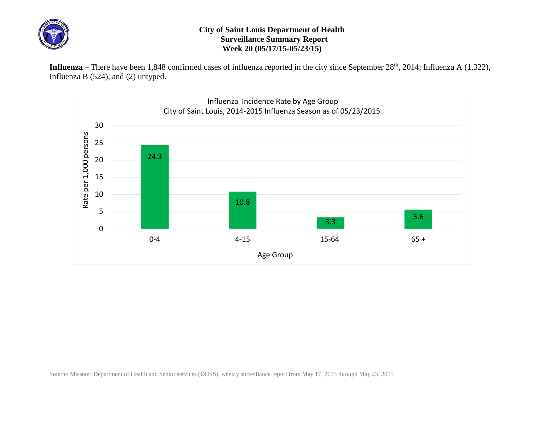

## **City of Saint Louis Department of Health Surveillance Summary Report Week 20 (05/17/15-05/23/15)**

Influenza – There have been 1,848 confirmed cases of influenza reported in the city since September 28<sup>th</sup>, 2014; Influenza A (1,322), Influenza B (524), and (2) untyped.